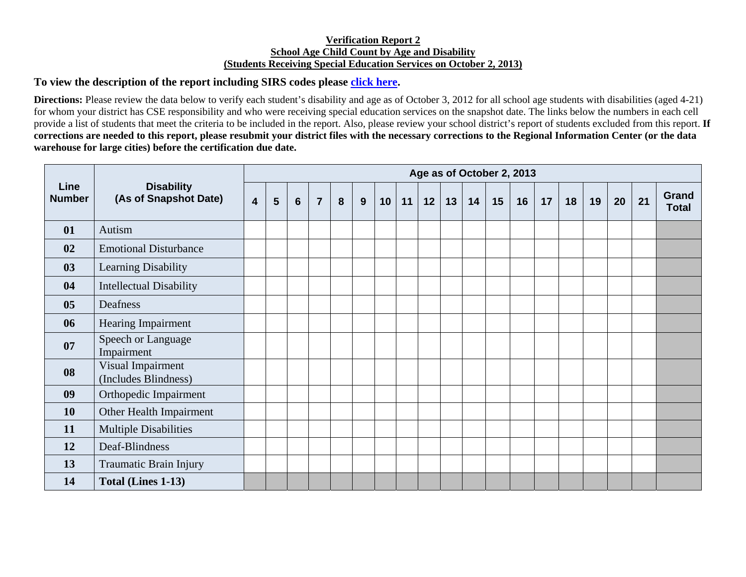## **Verification Report 2 School Age Child Count by Age and Disability (Students Receiving Special Education Services on October 2, 2013)**

## **To view the description of the report including SIRS codes please click here.**

**Directions:** Please review the data below to verify each student's disability and age as of October 3, 2012 for all school age students with disabilities (aged 4-21) for whom your district has CSE responsibility and who were receiving special education services on the snapshot date. The links below the numbers in each cell provide a list of students that meet the criteria to be included in the report. Also, please review your school district's report of students excluded from this report. **If corrections are needed to this report, please resubmit your district files with the necessary corrections to the Regional Information Center (or the data warehouse for large cities) before the certification due date.** 

| <b>Line</b><br><b>Number</b> | <b>Disability</b><br>(As of Snapshot Date) | Age as of October 2, 2013 |   |                 |                |   |   |    |    |    |    |    |    |    |    |    |    |    |    |                       |
|------------------------------|--------------------------------------------|---------------------------|---|-----------------|----------------|---|---|----|----|----|----|----|----|----|----|----|----|----|----|-----------------------|
|                              |                                            | $\overline{\mathbf{4}}$   | 5 | $6\phantom{1}6$ | $\overline{7}$ | 8 | 9 | 10 | 11 | 12 | 13 | 14 | 15 | 16 | 17 | 18 | 19 | 20 | 21 | Grand<br><b>Total</b> |
| 01                           | Autism                                     |                           |   |                 |                |   |   |    |    |    |    |    |    |    |    |    |    |    |    |                       |
| 02                           | <b>Emotional Disturbance</b>               |                           |   |                 |                |   |   |    |    |    |    |    |    |    |    |    |    |    |    |                       |
| 03                           | Learning Disability                        |                           |   |                 |                |   |   |    |    |    |    |    |    |    |    |    |    |    |    |                       |
| 04                           | <b>Intellectual Disability</b>             |                           |   |                 |                |   |   |    |    |    |    |    |    |    |    |    |    |    |    |                       |
| 0 <sub>5</sub>               | Deafness                                   |                           |   |                 |                |   |   |    |    |    |    |    |    |    |    |    |    |    |    |                       |
| 06                           | Hearing Impairment                         |                           |   |                 |                |   |   |    |    |    |    |    |    |    |    |    |    |    |    |                       |
| 07                           | Speech or Language<br>Impairment           |                           |   |                 |                |   |   |    |    |    |    |    |    |    |    |    |    |    |    |                       |
| 08                           | Visual Impairment<br>(Includes Blindness)  |                           |   |                 |                |   |   |    |    |    |    |    |    |    |    |    |    |    |    |                       |
| 09                           | Orthopedic Impairment                      |                           |   |                 |                |   |   |    |    |    |    |    |    |    |    |    |    |    |    |                       |
| <b>10</b>                    | Other Health Impairment                    |                           |   |                 |                |   |   |    |    |    |    |    |    |    |    |    |    |    |    |                       |
| 11                           | <b>Multiple Disabilities</b>               |                           |   |                 |                |   |   |    |    |    |    |    |    |    |    |    |    |    |    |                       |
| 12                           | Deaf-Blindness                             |                           |   |                 |                |   |   |    |    |    |    |    |    |    |    |    |    |    |    |                       |
| 13                           | Traumatic Brain Injury                     |                           |   |                 |                |   |   |    |    |    |    |    |    |    |    |    |    |    |    |                       |
| 14                           | Total (Lines 1-13)                         |                           |   |                 |                |   |   |    |    |    |    |    |    |    |    |    |    |    |    |                       |